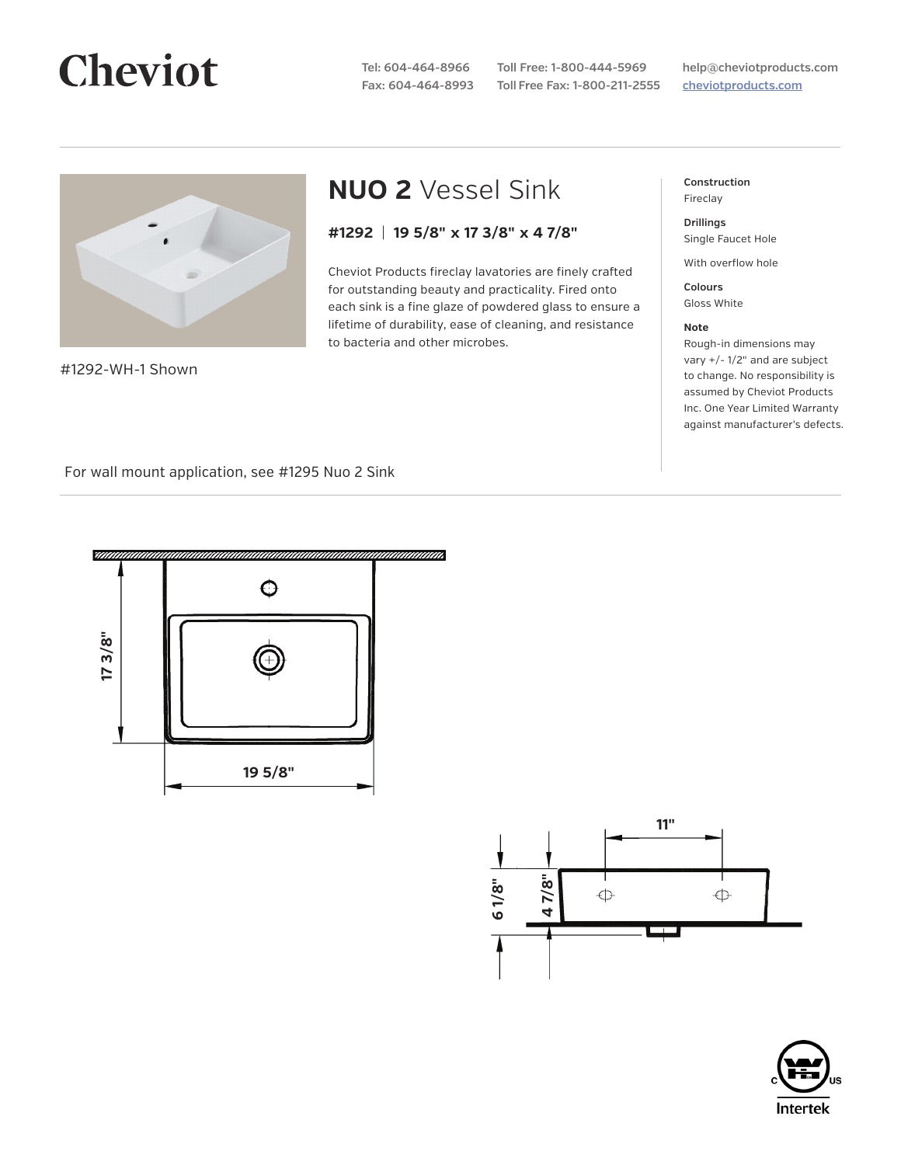# **Cheviot**

**Tel: 604-464-8966 Fax: 604-464-8993**

**Toll Free: 1-800-444-5969 Toll Free Fax: 1-800-211-2555**

**help@cheviotproducts.com cheviotproducts.com**



#1292-WH-1 Shown

## **NUO 2** Vessel Sink

### **#1292** | **19 5/8" x 17 3/8" x 4 7/8"**

Cheviot Products fireclay lavatories are finely crafted for outstanding beauty and practicality. Fired onto each sink is a fine glaze of powdered glass to ensure a lifetime of durability, ease of cleaning, and resistance to bacteria and other microbes.

**Construction** Fireclay

**Drillings** Single Faucet Hole

With overflow hole

**Colours** Gloss White

#### **Note**

Rough-in dimensions may vary +/- 1/2" and are subject to change. No responsibility is assumed by Cheviot Products Inc. One Year Limited Warranty against manufacturer's defects.

For wall mount application, see #1295 Nuo 2 Sink